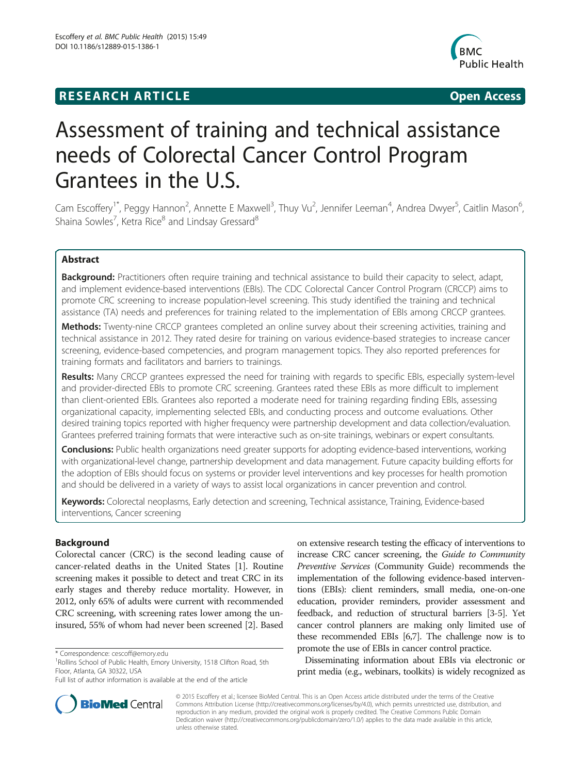# **RESEARCH ARTICLE Example 2014 12:30 The SEAR CHIPS 2014 12:30 The Open Access**



# Assessment of training and technical assistance needs of Colorectal Cancer Control Program Grantees in the U.S.

Cam Escoffery<sup>1\*</sup>, Peggy Hannon<sup>2</sup>, Annette E Maxwell<sup>3</sup>, Thuy Vu<sup>2</sup>, Jennifer Leeman<sup>4</sup>, Andrea Dwyer<sup>5</sup>, Caitlin Mason<sup>6</sup> , Shaina Sowles<sup>7</sup>, Ketra Rice $^8$  and Lindsay Gressard $^8$ 

# Abstract

Background: Practitioners often require training and technical assistance to build their capacity to select, adapt, and implement evidence-based interventions (EBIs). The CDC Colorectal Cancer Control Program (CRCCP) aims to promote CRC screening to increase population-level screening. This study identified the training and technical assistance (TA) needs and preferences for training related to the implementation of EBIs among CRCCP grantees.

Methods: Twenty-nine CRCCP grantees completed an online survey about their screening activities, training and technical assistance in 2012. They rated desire for training on various evidence-based strategies to increase cancer screening, evidence-based competencies, and program management topics. They also reported preferences for training formats and facilitators and barriers to trainings.

Results: Many CRCCP grantees expressed the need for training with regards to specific EBIs, especially system-level and provider-directed EBIs to promote CRC screening. Grantees rated these EBIs as more difficult to implement than client-oriented EBIs. Grantees also reported a moderate need for training regarding finding EBIs, assessing organizational capacity, implementing selected EBIs, and conducting process and outcome evaluations. Other desired training topics reported with higher frequency were partnership development and data collection/evaluation. Grantees preferred training formats that were interactive such as on-site trainings, webinars or expert consultants.

Conclusions: Public health organizations need greater supports for adopting evidence-based interventions, working with organizational-level change, partnership development and data management. Future capacity building efforts for the adoption of EBIs should focus on systems or provider level interventions and key processes for health promotion and should be delivered in a variety of ways to assist local organizations in cancer prevention and control.

Keywords: Colorectal neoplasms, Early detection and screening, Technical assistance, Training, Evidence-based interventions, Cancer screening

# Background

Colorectal cancer (CRC) is the second leading cause of cancer-related deaths in the United States [\[1\]](#page-6-0). Routine screening makes it possible to detect and treat CRC in its early stages and thereby reduce mortality. However, in 2012, only 65% of adults were current with recommended CRC screening, with screening rates lower among the uninsured, 55% of whom had never been screened [\[2](#page-6-0)]. Based

on extensive research testing the efficacy of interventions to increase CRC cancer screening, the Guide to Community Preventive Services (Community Guide) recommends the implementation of the following evidence-based interventions (EBIs): client reminders, small media, one-on-one education, provider reminders, provider assessment and feedback, and reduction of structural barriers [\[3-5](#page-7-0)]. Yet cancer control planners are making only limited use of these recommended EBIs [\[6,7](#page-7-0)]. The challenge now is to promote the use of EBIs in cancer control practice.

Disseminating information about EBIs via electronic or print media (e.g., webinars, toolkits) is widely recognized as



© 2015 Escoffery et al.; licensee BioMed Central. This is an Open Access article distributed under the terms of the Creative Commons Attribution License [\(http://creativecommons.org/licenses/by/4.0\)](http://creativecommons.org/licenses/by/4.0), which permits unrestricted use, distribution, and reproduction in any medium, provided the original work is properly credited. The Creative Commons Public Domain Dedication waiver [\(http://creativecommons.org/publicdomain/zero/1.0/](http://creativecommons.org/publicdomain/zero/1.0/)) applies to the data made available in this article, unless otherwise stated.

<sup>\*</sup> Correspondence: [cescoff@emory.edu](mailto:cescoff@emory.edu) <sup>1</sup>

<sup>&</sup>lt;sup>1</sup>Rollins School of Public Health, Emory University, 1518 Clifton Road, 5th Floor, Atlanta, GA 30322, USA

Full list of author information is available at the end of the article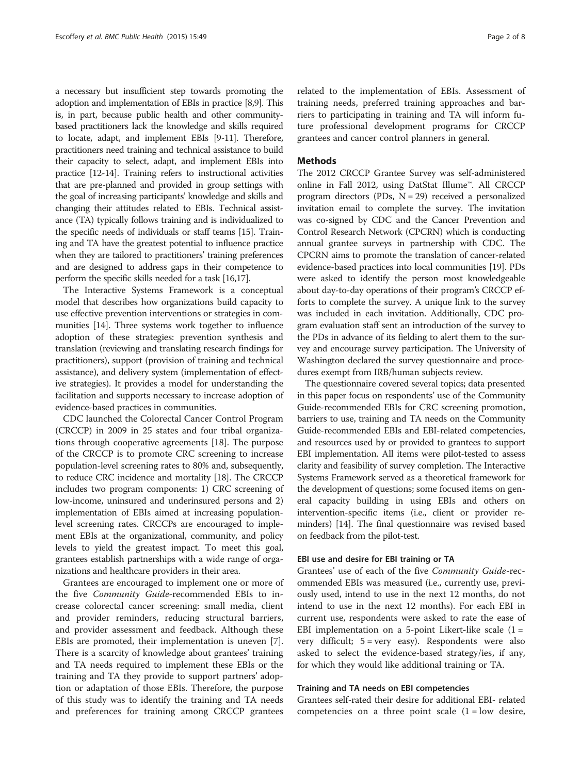a necessary but insufficient step towards promoting the adoption and implementation of EBIs in practice [\[8,9](#page-7-0)]. This is, in part, because public health and other communitybased practitioners lack the knowledge and skills required to locate, adapt, and implement EBIs [\[9-11\]](#page-7-0). Therefore, practitioners need training and technical assistance to build their capacity to select, adapt, and implement EBIs into practice [[12](#page-7-0)-[14](#page-7-0)]. Training refers to instructional activities that are pre-planned and provided in group settings with the goal of increasing participants' knowledge and skills and changing their attitudes related to EBIs. Technical assistance (TA) typically follows training and is individualized to the specific needs of individuals or staff teams [[15\]](#page-7-0). Training and TA have the greatest potential to influence practice when they are tailored to practitioners' training preferences and are designed to address gaps in their competence to perform the specific skills needed for a task [\[16,17\]](#page-7-0).

The Interactive Systems Framework is a conceptual model that describes how organizations build capacity to use effective prevention interventions or strategies in communities [\[14](#page-7-0)]. Three systems work together to influence adoption of these strategies: prevention synthesis and translation (reviewing and translating research findings for practitioners), support (provision of training and technical assistance), and delivery system (implementation of effective strategies). It provides a model for understanding the facilitation and supports necessary to increase adoption of evidence-based practices in communities.

CDC launched the Colorectal Cancer Control Program (CRCCP) in 2009 in 25 states and four tribal organizations through cooperative agreements [[18\]](#page-7-0). The purpose of the CRCCP is to promote CRC screening to increase population-level screening rates to 80% and, subsequently, to reduce CRC incidence and mortality [\[18\]](#page-7-0). The CRCCP includes two program components: 1) CRC screening of low-income, uninsured and underinsured persons and 2) implementation of EBIs aimed at increasing populationlevel screening rates. CRCCPs are encouraged to implement EBIs at the organizational, community, and policy levels to yield the greatest impact. To meet this goal, grantees establish partnerships with a wide range of organizations and healthcare providers in their area.

Grantees are encouraged to implement one or more of the five Community Guide-recommended EBIs to increase colorectal cancer screening: small media, client and provider reminders, reducing structural barriers, and provider assessment and feedback. Although these EBIs are promoted, their implementation is uneven [\[7](#page-7-0)]. There is a scarcity of knowledge about grantees' training and TA needs required to implement these EBIs or the training and TA they provide to support partners' adoption or adaptation of those EBIs. Therefore, the purpose of this study was to identify the training and TA needs and preferences for training among CRCCP grantees

related to the implementation of EBIs. Assessment of training needs, preferred training approaches and barriers to participating in training and TA will inform future professional development programs for CRCCP grantees and cancer control planners in general.

#### Methods

The 2012 CRCCP Grantee Survey was self-administered online in Fall 2012, using DatStat Illume™. All CRCCP program directors (PDs,  $N = 29$ ) received a personalized invitation email to complete the survey. The invitation was co-signed by CDC and the Cancer Prevention and Control Research Network (CPCRN) which is conducting annual grantee surveys in partnership with CDC. The CPCRN aims to promote the translation of cancer-related evidence-based practices into local communities [[19](#page-7-0)]. PDs were asked to identify the person most knowledgeable about day-to-day operations of their program's CRCCP efforts to complete the survey. A unique link to the survey was included in each invitation. Additionally, CDC program evaluation staff sent an introduction of the survey to the PDs in advance of its fielding to alert them to the survey and encourage survey participation. The University of Washington declared the survey questionnaire and procedures exempt from IRB/human subjects review.

The questionnaire covered several topics; data presented in this paper focus on respondents' use of the Community Guide-recommended EBIs for CRC screening promotion, barriers to use, training and TA needs on the Community Guide-recommended EBIs and EBI-related competencies, and resources used by or provided to grantees to support EBI implementation. All items were pilot-tested to assess clarity and feasibility of survey completion. The Interactive Systems Framework served as a theoretical framework for the development of questions; some focused items on general capacity building in using EBIs and others on intervention-specific items (i.e., client or provider reminders) [\[14\]](#page-7-0). The final questionnaire was revised based on feedback from the pilot-test.

#### EBI use and desire for EBI training or TA

Grantees' use of each of the five Community Guide-recommended EBIs was measured (i.e., currently use, previously used, intend to use in the next 12 months, do not intend to use in the next 12 months). For each EBI in current use, respondents were asked to rate the ease of EBI implementation on a 5-point Likert-like scale  $(1 =$ very difficult; 5 = very easy). Respondents were also asked to select the evidence-based strategy/ies, if any, for which they would like additional training or TA.

#### Training and TA needs on EBI competencies

Grantees self-rated their desire for additional EBI- related competencies on a three point scale  $(1 = low$  desire,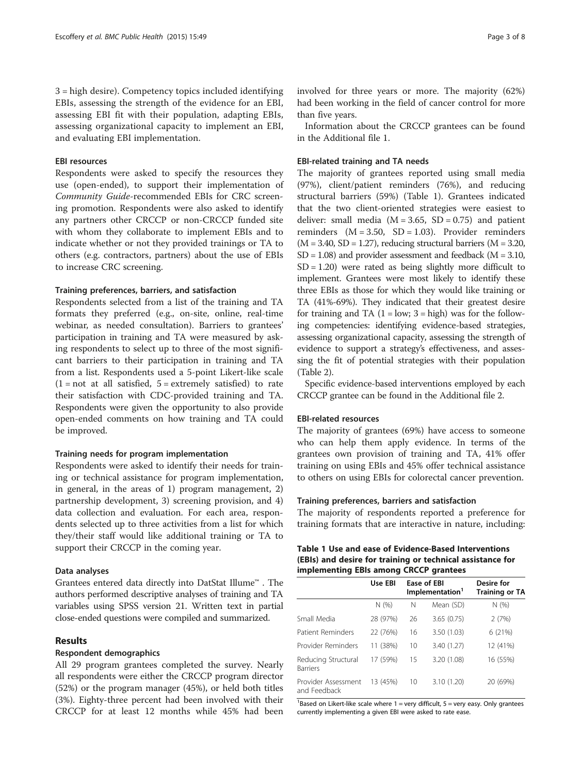3 = high desire). Competency topics included identifying EBIs, assessing the strength of the evidence for an EBI, assessing EBI fit with their population, adapting EBIs, assessing organizational capacity to implement an EBI, and evaluating EBI implementation.

#### EBI resources

Respondents were asked to specify the resources they use (open-ended), to support their implementation of Community Guide-recommended EBIs for CRC screening promotion. Respondents were also asked to identify any partners other CRCCP or non-CRCCP funded site with whom they collaborate to implement EBIs and to indicate whether or not they provided trainings or TA to others (e.g. contractors, partners) about the use of EBIs to increase CRC screening.

#### Training preferences, barriers, and satisfaction

Respondents selected from a list of the training and TA formats they preferred (e.g., on-site, online, real-time webinar, as needed consultation). Barriers to grantees' participation in training and TA were measured by asking respondents to select up to three of the most significant barriers to their participation in training and TA from a list. Respondents used a 5-point Likert-like scale  $(1 = not at all satisfied, 5 = extremely satisfied)$  to rate their satisfaction with CDC-provided training and TA. Respondents were given the opportunity to also provide open-ended comments on how training and TA could be improved.

#### Training needs for program implementation

Respondents were asked to identify their needs for training or technical assistance for program implementation, in general, in the areas of 1) program management, 2) partnership development, 3) screening provision, and 4) data collection and evaluation. For each area, respondents selected up to three activities from a list for which they/their staff would like additional training or TA to support their CRCCP in the coming year.

#### Data analyses

Grantees entered data directly into DatStat Illume™ . The authors performed descriptive analyses of training and TA variables using SPSS version 21. Written text in partial close-ended questions were compiled and summarized.

# Results

#### Respondent demographics

All 29 program grantees completed the survey. Nearly all respondents were either the CRCCP program director (52%) or the program manager (45%), or held both titles (3%). Eighty-three percent had been involved with their CRCCP for at least 12 months while 45% had been involved for three years or more. The majority (62%) had been working in the field of cancer control for more than five years.

Information about the CRCCP grantees can be found in the Additional file [1.](#page-6-0)

#### EBI-related training and TA needs

The majority of grantees reported using small media (97%), client/patient reminders (76%), and reducing structural barriers (59%) (Table 1). Grantees indicated that the two client-oriented strategies were easiest to deliver: small media  $(M = 3.65, SD = 0.75)$  and patient reminders  $(M = 3.50, SD = 1.03)$ . Provider reminders  $(M = 3.40, SD = 1.27)$ , reducing structural barriers  $(M = 3.20,$  $SD = 1.08$ ) and provider assessment and feedback ( $M = 3.10$ ,  $SD = 1.20$ ) were rated as being slightly more difficult to implement. Grantees were most likely to identify these three EBIs as those for which they would like training or TA (41%-69%). They indicated that their greatest desire for training and TA  $(1 = low; 3 = high)$  was for the following competencies: identifying evidence-based strategies, assessing organizational capacity, assessing the strength of evidence to support a strategy's effectiveness, and assessing the fit of potential strategies with their population (Table [2](#page-3-0)).

Specific evidence-based interventions employed by each CRCCP grantee can be found in the Additional file [2](#page-6-0).

#### EBI-related resources

The majority of grantees (69%) have access to someone who can help them apply evidence. In terms of the grantees own provision of training and TA, 41% offer training on using EBIs and 45% offer technical assistance to others on using EBIs for colorectal cancer prevention.

#### Training preferences, barriers and satisfaction

The majority of respondents reported a preference for training formats that are interactive in nature, including:

| Table 1 Use and ease of Evidence-Based Interventions       |
|------------------------------------------------------------|
| (EBIs) and desire for training or technical assistance for |
| implementing EBIs among CRCCP grantees                     |

|                                        | Use EBI  | Ease of EBI<br>Implementation' |             | Desire for<br><b>Training or TA</b> |
|----------------------------------------|----------|--------------------------------|-------------|-------------------------------------|
|                                        | N(%      | N                              | Mean (SD)   | N(%)                                |
| Small Media                            | 28 (97%) | 26                             | 3.65(0.75)  | 2(7%)                               |
| Patient Reminders                      | 22 (76%) | 16                             | 3.50 (1.03) | 6(21%)                              |
| Provider Reminders                     | 11 (38%) | 10                             | 3.40 (1.27) | 12 (41%)                            |
| Reducing Structural<br><b>Barriers</b> | 17 (59%) | 15                             | 3.20 (1.08) | 16 (55%)                            |
| Provider Assessment<br>and Feedback    | 13 (45%) | 10                             | 3.10(1.20)  | 20 (69%)                            |

<sup>1</sup>Based on Likert-like scale where  $1 =$  very difficult,  $5 =$  very easy. Only grantees currently implementing a given EBI were asked to rate ease.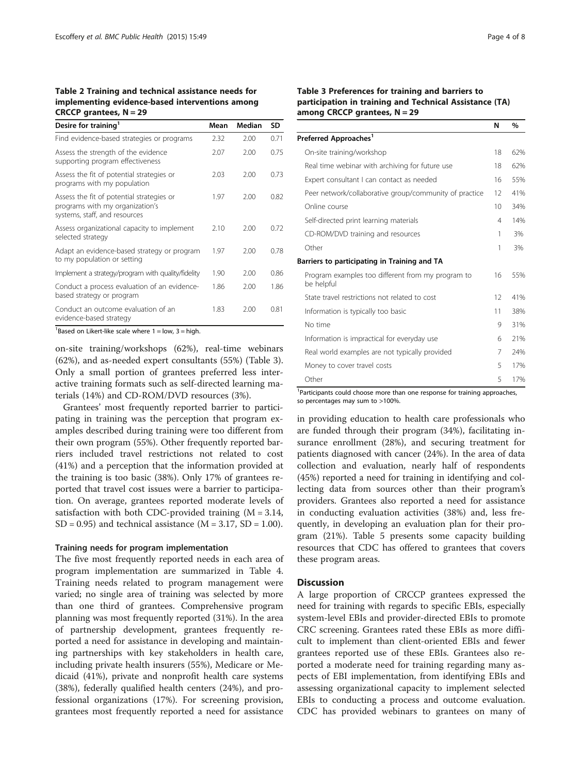# <span id="page-3-0"></span>Table 2 Training and technical assistance needs for implementing evidence-based interventions among CRCCP grantees,  $N = 29$

| Desire for training <sup>1</sup>                                                                              | Mean | Median | SD   |
|---------------------------------------------------------------------------------------------------------------|------|--------|------|
| Find evidence-based strategies or programs                                                                    | 2.32 | 2.00   | 0.71 |
| Assess the strength of the evidence<br>supporting program effectiveness                                       | 2.07 | 2.00   | 0.75 |
| Assess the fit of potential strategies or<br>programs with my population                                      | 203  | 2.00   | 0.73 |
| Assess the fit of potential strategies or<br>programs with my organization's<br>systems, staff, and resources | 1.97 | 2.00   | 0.82 |
| Assess organizational capacity to implement<br>selected strategy                                              | 2.10 | 2.00   | 0.72 |
| Adapt an evidence-based strategy or program<br>to my population or setting                                    | 1.97 | 2.00   | 0.78 |
| Implement a strategy/program with quality/fidelity                                                            | 1.90 | 2.00   | 0.86 |
| Conduct a process evaluation of an evidence-<br>based strategy or program                                     | 1.86 | 2.00   | 1.86 |
| Conduct an outcome evaluation of an<br>evidence-based strategy                                                | 1.83 | 2.00   | 0.81 |

<sup>1</sup> Based on Likert-like scale where  $1 =$  low,  $3 =$  high.

on-site training/workshops (62%), real-time webinars (62%), and as-needed expert consultants (55%) (Table 3). Only a small portion of grantees preferred less interactive training formats such as self-directed learning materials (14%) and CD-ROM/DVD resources (3%).

Grantees' most frequently reported barrier to participating in training was the perception that program examples described during training were too different from their own program (55%). Other frequently reported barriers included travel restrictions not related to cost (41%) and a perception that the information provided at the training is too basic (38%). Only 17% of grantees reported that travel cost issues were a barrier to participation. On average, grantees reported moderate levels of satisfaction with both CDC-provided training  $(M = 3.14,$  $SD = 0.95$ ) and technical assistance (M = 3.17, SD = 1.00).

#### Training needs for program implementation

The five most frequently reported needs in each area of program implementation are summarized in Table [4](#page-4-0). Training needs related to program management were varied; no single area of training was selected by more than one third of grantees. Comprehensive program planning was most frequently reported (31%). In the area of partnership development, grantees frequently reported a need for assistance in developing and maintaining partnerships with key stakeholders in health care, including private health insurers (55%), Medicare or Medicaid (41%), private and nonprofit health care systems (38%), federally qualified health centers (24%), and professional organizations (17%). For screening provision, grantees most frequently reported a need for assistance

# Table 3 Preferences for training and barriers to participation in training and Technical Assistance (TA) among CRCCP grantees, N = 29

|                                                                 | N  | $\frac{0}{0}$ |
|-----------------------------------------------------------------|----|---------------|
| Preferred Approaches <sup>1</sup>                               |    |               |
| On-site training/workshop                                       | 18 | 62%           |
| Real time webinar with archiving for future use                 | 18 | 62%           |
| Expert consultant I can contact as needed                       | 16 | 55%           |
| Peer network/collaborative group/community of practice          | 12 | 41%           |
| Online course                                                   | 10 | 34%           |
| Self-directed print learning materials                          | 4  | 14%           |
| CD-ROM/DVD training and resources                               | 1  | 3%            |
| Other                                                           | 1  | 3%            |
| Barriers to participating in Training and TA                    |    |               |
| Program examples too different from my program to<br>be helpful | 16 | 55%           |
| State travel restrictions not related to cost                   | 12 | 41%           |
| Information is typically too basic                              | 11 | 38%           |
| No time                                                         | 9  | 31%           |
| Information is impractical for everyday use                     | 6  | 21%           |
| Real world examples are not typically provided                  | 7  | 24%           |
| Money to cover travel costs                                     | 5  | 17%           |
| Other                                                           | 5  | 17%           |

<sup>1</sup>Participants could choose more than one response for training approaches, so percentages may sum to >100%.

in providing education to health care professionals who are funded through their program (34%), facilitating insurance enrollment (28%), and securing treatment for patients diagnosed with cancer (24%). In the area of data collection and evaluation, nearly half of respondents (45%) reported a need for training in identifying and collecting data from sources other than their program's providers. Grantees also reported a need for assistance in conducting evaluation activities (38%) and, less frequently, in developing an evaluation plan for their program (21%). Table [5](#page-5-0) presents some capacity building resources that CDC has offered to grantees that covers these program areas.

## **Discussion**

A large proportion of CRCCP grantees expressed the need for training with regards to specific EBIs, especially system-level EBIs and provider-directed EBIs to promote CRC screening. Grantees rated these EBIs as more difficult to implement than client-oriented EBIs and fewer grantees reported use of these EBIs. Grantees also reported a moderate need for training regarding many aspects of EBI implementation, from identifying EBIs and assessing organizational capacity to implement selected EBIs to conducting a process and outcome evaluation. CDC has provided webinars to grantees on many of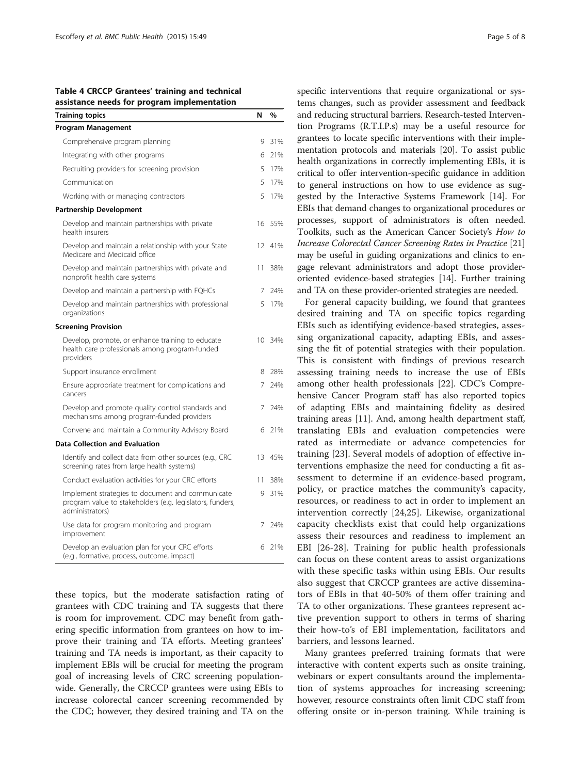<span id="page-4-0"></span>Table 4 CRCCP Grantees' training and technical assistance needs for program implementation

| <b>Training topics</b>                                                                                                           | N       | %      |
|----------------------------------------------------------------------------------------------------------------------------------|---------|--------|
| Program Management                                                                                                               |         |        |
| Comprehensive program planning                                                                                                   | 9       | 31%    |
| Integrating with other programs                                                                                                  | 6       | 21%    |
| Recruiting providers for screening provision                                                                                     | 5       | 17%    |
| Communication                                                                                                                    | 5       | 17%    |
| Working with or managing contractors                                                                                             | 5       | 17%    |
| <b>Partnership Development</b>                                                                                                   |         |        |
| Develop and maintain partnerships with private<br>health insurers                                                                |         | 16 55% |
| Develop and maintain a relationship with your State<br>Medicare and Medicaid office                                              | $12-12$ | 41%    |
| Develop and maintain partnerships with private and<br>nonprofit health care systems                                              | 11      | 38%    |
| Develop and maintain a partnership with FQHCs                                                                                    | 7       | 24%    |
| Develop and maintain partnerships with professional<br>organizations                                                             | 5       | 17%    |
| <b>Screening Provision</b>                                                                                                       |         |        |
| Develop, promote, or enhance training to educate<br>health care professionals among program-funded<br>providers                  |         | 10 34% |
| Support insurance enrollment                                                                                                     | 8       | 28%    |
| Ensure appropriate treatment for complications and<br>cancers                                                                    | 7       | 24%    |
| Develop and promote quality control standards and<br>mechanisms among program-funded providers                                   | 7       | 24%    |
| Convene and maintain a Community Advisory Board                                                                                  | 6       | 21%    |
| <b>Data Collection and Evaluation</b>                                                                                            |         |        |
| Identify and collect data from other sources (e.g., CRC<br>screening rates from large health systems)                            | 13      | 45%    |
| Conduct evaluation activities for your CRC efforts                                                                               | 11      | 38%    |
| Implement strategies to document and communicate<br>program value to stakeholders (e.g. legislators, funders,<br>administrators) | 9       | 31%    |
| Use data for program monitoring and program<br>improvement                                                                       | 7       | 24%    |
| Develop an evaluation plan for your CRC efforts<br>(e.g., formative, process, outcome, impact)                                   | 6       | 21%    |

these topics, but the moderate satisfaction rating of grantees with CDC training and TA suggests that there is room for improvement. CDC may benefit from gathering specific information from grantees on how to improve their training and TA efforts. Meeting grantees' training and TA needs is important, as their capacity to implement EBIs will be crucial for meeting the program goal of increasing levels of CRC screening populationwide. Generally, the CRCCP grantees were using EBIs to increase colorectal cancer screening recommended by the CDC; however, they desired training and TA on the

specific interventions that require organizational or systems changes, such as provider assessment and feedback and reducing structural barriers. Research-tested Intervention Programs (R.T.I.P.s) may be a useful resource for grantees to locate specific interventions with their implementation protocols and materials [\[20\]](#page-7-0). To assist public health organizations in correctly implementing EBIs, it is critical to offer intervention-specific guidance in addition to general instructions on how to use evidence as suggested by the Interactive Systems Framework [\[14\]](#page-7-0). For EBIs that demand changes to organizational procedures or processes, support of administrators is often needed. Toolkits, such as the American Cancer Society's How to Increase Colorectal Cancer Screening Rates in Practice [[21](#page-7-0)] may be useful in guiding organizations and clinics to engage relevant administrators and adopt those provideroriented evidence-based strategies [\[14\]](#page-7-0). Further training and TA on these provider-oriented strategies are needed.

For general capacity building, we found that grantees desired training and TA on specific topics regarding EBIs such as identifying evidence-based strategies, assessing organizational capacity, adapting EBIs, and assessing the fit of potential strategies with their population. This is consistent with findings of previous research assessing training needs to increase the use of EBIs among other health professionals [\[22\]](#page-7-0). CDC's Comprehensive Cancer Program staff has also reported topics of adapting EBIs and maintaining fidelity as desired training areas [\[11](#page-7-0)]. And, among health department staff, translating EBIs and evaluation competencies were rated as intermediate or advance competencies for training [[23\]](#page-7-0). Several models of adoption of effective interventions emphasize the need for conducting a fit assessment to determine if an evidence-based program, policy, or practice matches the community's capacity, resources, or readiness to act in order to implement an intervention correctly [[24,25](#page-7-0)]. Likewise, organizational capacity checklists exist that could help organizations assess their resources and readiness to implement an EBI [\[26](#page-7-0)-[28](#page-7-0)]. Training for public health professionals can focus on these content areas to assist organizations with these specific tasks within using EBIs. Our results also suggest that CRCCP grantees are active disseminators of EBIs in that 40-50% of them offer training and TA to other organizations. These grantees represent active prevention support to others in terms of sharing their how-to's of EBI implementation, facilitators and barriers, and lessons learned.

Many grantees preferred training formats that were interactive with content experts such as onsite training, webinars or expert consultants around the implementation of systems approaches for increasing screening; however, resource constraints often limit CDC staff from offering onsite or in-person training. While training is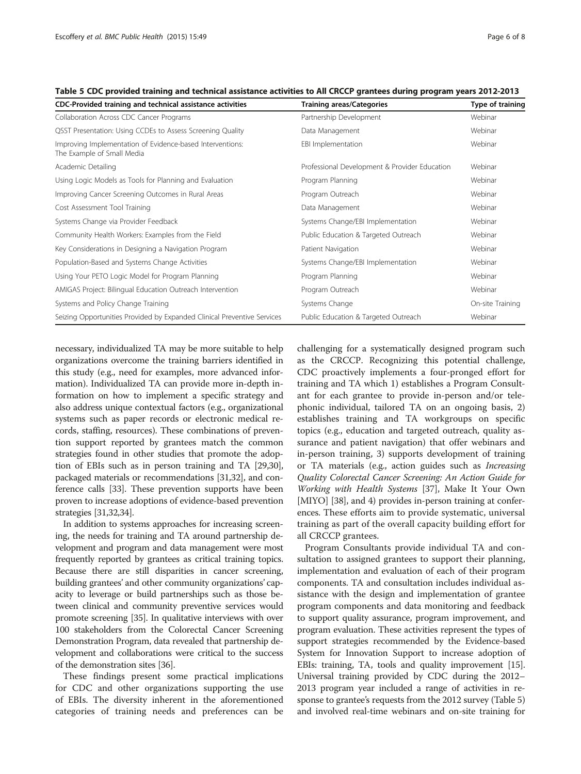| CDC-Provided training and technical assistance activities                               | <b>Training areas/Categories</b>              | Type of training |  |
|-----------------------------------------------------------------------------------------|-----------------------------------------------|------------------|--|
| Collaboration Across CDC Cancer Programs                                                | Partnership Development                       | Webinar          |  |
| QSST Presentation: Using CCDEs to Assess Screening Quality                              | Data Management                               | Webinar          |  |
| Improving Implementation of Evidence-based Interventions:<br>The Example of Small Media | EBI Implementation                            | Webinar          |  |
| Academic Detailing                                                                      | Professional Development & Provider Education | Webinar          |  |
| Using Logic Models as Tools for Planning and Evaluation                                 | Program Planning                              | Webinar          |  |
| Improving Cancer Screening Outcomes in Rural Areas                                      | Program Outreach                              | Webinar          |  |
| Cost Assessment Tool Training                                                           | Data Management                               | Webinar          |  |
| Systems Change via Provider Feedback                                                    | Systems Change/EBI Implementation             | Webinar          |  |
| Community Health Workers: Examples from the Field                                       | Public Education & Targeted Outreach          | Webinar          |  |
| Key Considerations in Designing a Navigation Program                                    | Patient Navigation                            | Webinar          |  |
| Population-Based and Systems Change Activities                                          | Systems Change/EBI Implementation             | Webinar          |  |
| Using Your PETO Logic Model for Program Planning                                        | Program Planning                              | Webinar          |  |
| AMIGAS Project: Bilingual Education Outreach Intervention                               | Program Outreach                              | Webinar          |  |
| Systems and Policy Change Training                                                      | Systems Change                                | On-site Training |  |
| Seizing Opportunities Provided by Expanded Clinical Preventive Services                 | Public Education & Targeted Outreach          | Webinar          |  |

<span id="page-5-0"></span>Table 5 CDC provided training and technical assistance activities to All CRCCP grantees during program years 2012-2013

necessary, individualized TA may be more suitable to help organizations overcome the training barriers identified in this study (e.g., need for examples, more advanced information). Individualized TA can provide more in-depth information on how to implement a specific strategy and also address unique contextual factors (e.g., organizational systems such as paper records or electronic medical records, staffing, resources). These combinations of prevention support reported by grantees match the common strategies found in other studies that promote the adoption of EBIs such as in person training and TA [\[29,30](#page-7-0)], packaged materials or recommendations [\[31,32\]](#page-7-0), and conference calls [[33](#page-7-0)]. These prevention supports have been proven to increase adoptions of evidence-based prevention strategies [\[31,32,34](#page-7-0)].

In addition to systems approaches for increasing screening, the needs for training and TA around partnership development and program and data management were most frequently reported by grantees as critical training topics. Because there are still disparities in cancer screening, building grantees' and other community organizations' capacity to leverage or build partnerships such as those between clinical and community preventive services would promote screening [\[35\]](#page-7-0). In qualitative interviews with over 100 stakeholders from the Colorectal Cancer Screening Demonstration Program, data revealed that partnership development and collaborations were critical to the success of the demonstration sites [\[36\]](#page-7-0).

These findings present some practical implications for CDC and other organizations supporting the use of EBIs. The diversity inherent in the aforementioned categories of training needs and preferences can be challenging for a systematically designed program such as the CRCCP. Recognizing this potential challenge, CDC proactively implements a four-pronged effort for training and TA which 1) establishes a Program Consultant for each grantee to provide in-person and/or telephonic individual, tailored TA on an ongoing basis, 2) establishes training and TA workgroups on specific topics (e.g., education and targeted outreach, quality assurance and patient navigation) that offer webinars and in-person training, 3) supports development of training or TA materials (e.g., action guides such as Increasing Quality Colorectal Cancer Screening: An Action Guide for Working with Health Systems [\[37\]](#page-7-0), Make It Your Own [MIYO] [[38](#page-7-0)], and 4) provides in-person training at conferences. These efforts aim to provide systematic, universal training as part of the overall capacity building effort for all CRCCP grantees.

Program Consultants provide individual TA and consultation to assigned grantees to support their planning, implementation and evaluation of each of their program components. TA and consultation includes individual assistance with the design and implementation of grantee program components and data monitoring and feedback to support quality assurance, program improvement, and program evaluation. These activities represent the types of support strategies recommended by the Evidence-based System for Innovation Support to increase adoption of EBIs: training, TA, tools and quality improvement [[15](#page-7-0)]. Universal training provided by CDC during the 2012– 2013 program year included a range of activities in response to grantee's requests from the 2012 survey (Table 5) and involved real-time webinars and on-site training for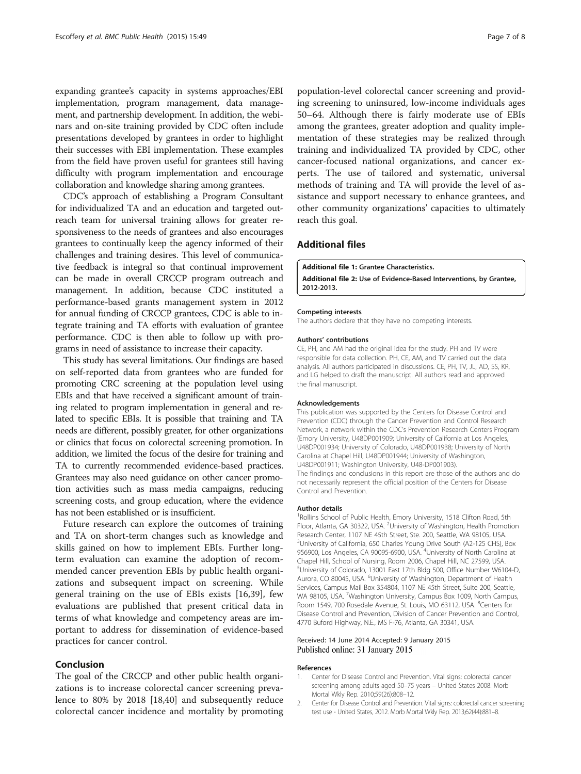<span id="page-6-0"></span>expanding grantee's capacity in systems approaches/EBI implementation, program management, data management, and partnership development. In addition, the webinars and on-site training provided by CDC often include presentations developed by grantees in order to highlight their successes with EBI implementation. These examples from the field have proven useful for grantees still having difficulty with program implementation and encourage collaboration and knowledge sharing among grantees.

CDC's approach of establishing a Program Consultant for individualized TA and an education and targeted outreach team for universal training allows for greater responsiveness to the needs of grantees and also encourages grantees to continually keep the agency informed of their challenges and training desires. This level of communicative feedback is integral so that continual improvement can be made in overall CRCCP program outreach and management. In addition, because CDC instituted a performance-based grants management system in 2012 for annual funding of CRCCP grantees, CDC is able to integrate training and TA efforts with evaluation of grantee performance. CDC is then able to follow up with programs in need of assistance to increase their capacity.

This study has several limitations. Our findings are based on self-reported data from grantees who are funded for promoting CRC screening at the population level using EBIs and that have received a significant amount of training related to program implementation in general and related to specific EBIs. It is possible that training and TA needs are different, possibly greater, for other organizations or clinics that focus on colorectal screening promotion. In addition, we limited the focus of the desire for training and TA to currently recommended evidence-based practices. Grantees may also need guidance on other cancer promotion activities such as mass media campaigns, reducing screening costs, and group education, where the evidence has not been established or is insufficient.

Future research can explore the outcomes of training and TA on short-term changes such as knowledge and skills gained on how to implement EBIs. Further longterm evaluation can examine the adoption of recommended cancer prevention EBIs by public health organizations and subsequent impact on screening. While general training on the use of EBIs exists [[16](#page-7-0),[39](#page-7-0)], few evaluations are published that present critical data in terms of what knowledge and competency areas are important to address for dissemination of evidence-based practices for cancer control.

# Conclusion

The goal of the CRCCP and other public health organizations is to increase colorectal cancer screening prevalence to 80% by 2018 [\[18,40\]](#page-7-0) and subsequently reduce colorectal cancer incidence and mortality by promoting population-level colorectal cancer screening and providing screening to uninsured, low-income individuals ages 50–64. Although there is fairly moderate use of EBIs among the grantees, greater adoption and quality implementation of these strategies may be realized through training and individualized TA provided by CDC, other cancer-focused national organizations, and cancer experts. The use of tailored and systematic, universal methods of training and TA will provide the level of assistance and support necessary to enhance grantees, and other community organizations' capacities to ultimately reach this goal.

#### Additional files

[Additional file 1:](http://www.biomedcentral.com/content/supplementary/s12889-015-1386-1-s1.docx) Grantee Characteristics. [Additional file 2:](http://www.biomedcentral.com/content/supplementary/s12889-015-1386-1-s2.docx) Use of Evidence-Based Interventions, by Grantee, 2012-2013.

#### Competing interests

The authors declare that they have no competing interests.

#### Authors' contributions

CE, PH, and AM had the original idea for the study. PH and TV were responsible for data collection. PH, CE, AM, and TV carried out the data analysis. All authors participated in discussions. CE, PH, TV, JL, AD, SS, KR, and LG helped to draft the manuscript. All authors read and approved the final manuscript.

#### Acknowledgements

This publication was supported by the Centers for Disease Control and Prevention (CDC) through the Cancer Prevention and Control Research Network, a network within the CDC's Prevention Research Centers Program (Emory University, U48DP001909; University of California at Los Angeles, U48DP001934; University of Colorado, U48DP001938; University of North Carolina at Chapel Hill, U48DP001944; University of Washington, U48DP001911; Washington University, U48-DP001903). The findings and conclusions in this report are those of the authors and do not necessarily represent the official position of the Centers for Disease Control and Prevention.

#### Author details

<sup>1</sup> Rollins School of Public Health, Emory University, 1518 Clifton Road, 5th Floor, Atlanta, GA 30322, USA. <sup>2</sup>University of Washington, Health Promotion Research Center, 1107 NE 45th Street, Ste. 200, Seattle, WA 98105, USA. <sup>3</sup>University of California, 650 Charles Young Drive South (A2-125 CHS), Box 956900, Los Angeles, CA 90095-6900, USA. <sup>4</sup>University of North Carolina at Chapel Hill, School of Nursing, Room 2006, Chapel Hill, NC 27599, USA. 5 University of Colorado, 13001 East 17th Bldg 500, Office Number W6104-D, Aurora, CO 80045, USA. <sup>6</sup>University of Washington, Department of Health Services, Campus Mail Box 354804, 1107 NE 45th Street, Suite 200, Seattle, WA 98105, USA. <sup>7</sup>Washington University, Campus Box 1009, North Campus, Room 1549, 700 Rosedale Avenue, St. Louis, MO 63112, USA. <sup>8</sup>Centers for Disease Control and Prevention, Division of Cancer Prevention and Control, 4770 Buford Highway, N.E., MS F-76, Atlanta, GA 30341, USA.

#### Received: 14 June 2014 Accepted: 9 January 2015 Published online: 31 January 2015

#### References

- 1. Center for Disease Control and Prevention. Vital signs: colorectal cancer screening among adults aged 50–75 years – United States 2008. Morb Mortal Wkly Rep. 2010;59(26):808–12.
- 2. Center for Disease Control and Prevention. Vital signs: colorectal cancer screening test use - United States, 2012. Morb Mortal Wkly Rep. 2013;62(44):881–8.